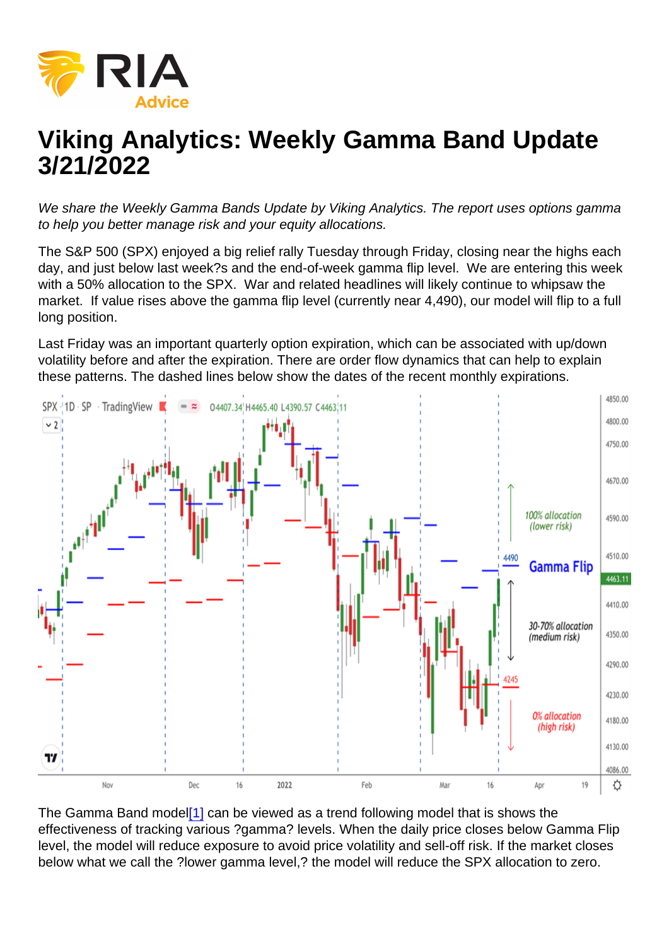# <span id="page-0-0"></span>Viking Analytics: Weekly Gamma Band Update 3/21/2022

We share the Weekly Gamma Bands Update by Viking Analytics. The report uses options gamma to help you better manage risk and your equity allocations.

The S&P 500 (SPX) enjoyed a big relief rally Tuesday through Friday, closing near the highs each day, and just below last week?s and the end-of-week gamma flip level. We are entering this week with a 50% allocation to the SPX. War and related headlines will likely continue to whipsaw the market. If value rises above the gamma flip level (currently near 4,490), our model will flip to a full long position.

Last Friday was an important quarterly option expiration, which can be associated with up/down volatility before and after the expiration. There are order flow dynamics that can help to explain these patterns. The dashed lines below show the dates of the recent monthly expirations.

The Gamma Band model<sup>[1]</sup> can be viewed as a trend following model that is shows the effectiveness of tracking various ?gamma? levels. When the daily price closes below Gamma Flip level, the model will reduce exposure to avoid price volatility and sell-off risk. If the market closes below what we call the ?lower gamma level,? the model will reduce the SPX allocation to zero.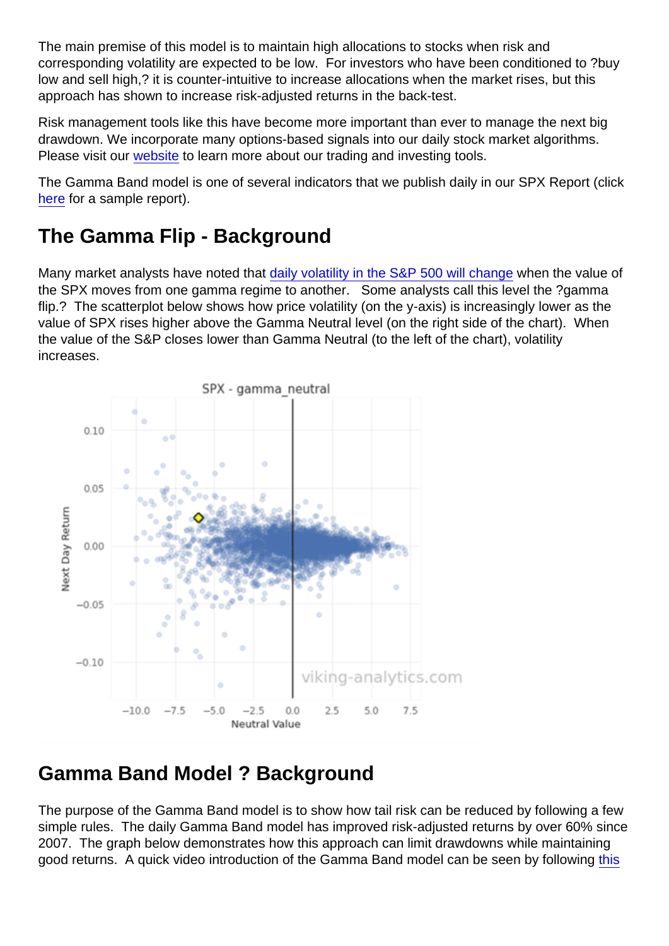The main premise of this model is to maintain high allocations to stocks when risk and corresponding volatility are expected to be low. For investors who have been conditioned to ?buy low and sell high,? it is counter-intuitive to increase allocations when the market rises, but this approach has shown to increase risk-adjusted returns in the back-test.

Risk management tools like this have become more important than ever to manage the next big drawdown. We incorporate many options-based signals into our daily stock market algorithms. Please visit our [website](https://viking-analytics.com/) to learn more about our trading and investing tools.

The Gamma Band model is one of several indicators that we publish daily in our SPX Report (click [here](https://sowl.co/bujTeT) for a sample report).

## The Gamma Flip - Background

Many market analysts have noted that [daily volatility in the S&P 500 will change](https://www.wsj.com/articles/markets-are-calm-then-suddenly-go-crazy-some-investors-think-they-know-why-11562666400?shareToken=st3e86ec3955124ea48f33c65b52e2be75) when the value of the SPX moves from one gamma regime to another. Some analysts call this level the ?gamma flip.? The scatterplot below shows how price volatility (on the y-axis) is increasingly lower as the value of SPX rises higher above the Gamma Neutral level (on the right side of the chart). When the value of the S&P closes lower than Gamma Neutral (to the left of the chart), volatility increases.

## Gamma Band Model ? Background

The purpose of the Gamma Band model is to show how tail risk can be reduced by following a few simple rules. The daily Gamma Band model has improved risk-adjusted returns by over 60% since 2007. The graph below demonstrates how this approach can limit drawdowns while maintaining good returns. A quick video introduction of the Gamma Band model can be seen by following [this](https://youtu.be/VRWweBwa6XY)